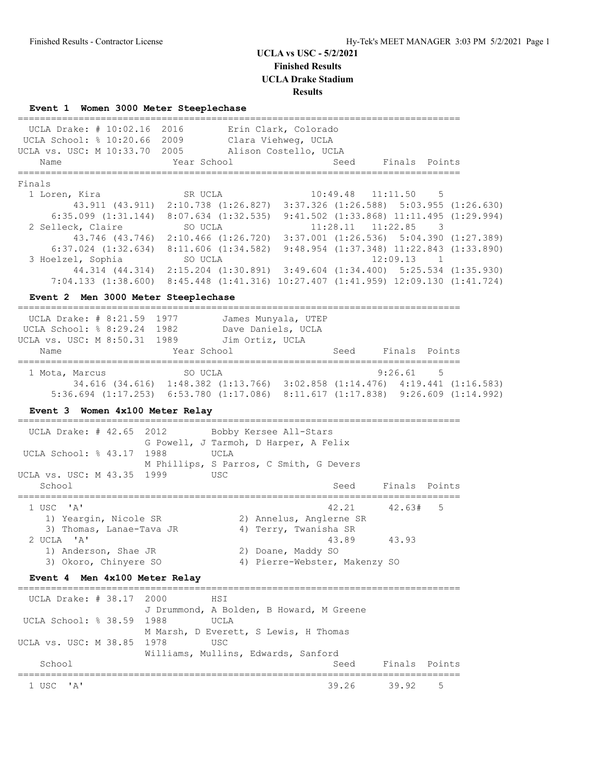## **UCLA vs USC - 5/2/2021 Finished Results**

**UCLA Drake Stadium**

# **Results**

================================================================================

**Event 1 Women 3000 Meter Steeplechase**

| UCLA Drake: # 10:02.16                                                            | 2016                                                                                   |                         | Erin Clark, Colorado          |       |                       |               |  |
|-----------------------------------------------------------------------------------|----------------------------------------------------------------------------------------|-------------------------|-------------------------------|-------|-----------------------|---------------|--|
| UCLA School: % 10:20.66 2009                                                      |                                                                                        |                         | Clara Viehweg, UCLA           |       |                       |               |  |
| UCLA vs. USC: M 10:33.70 2005                                                     |                                                                                        |                         | Alison Costello, UCLA         |       |                       |               |  |
| Name<br>===========                                                               | Year School                                                                            |                         |                               | Seed  |                       | Finals Points |  |
| Finals                                                                            |                                                                                        |                         |                               |       |                       |               |  |
| 1 Loren, Kira                                                                     | SR UCLA                                                                                |                         |                               |       | 10:49.48 11:11.50     | -5            |  |
|                                                                                   | 43.911 (43.911) 2:10.738 (1:26.827) 3:37.326 (1:26.588) 5:03.955 (1:26.630)            |                         |                               |       |                       |               |  |
| 6:35.099 (1:31.144) 8:07.634 (1:32.535) 9:41.502 (1:33.868) 11:11.495 (1:29.994)  |                                                                                        |                         |                               |       |                       |               |  |
| 2 Selleck, Claire                                                                 | SO UCLA                                                                                |                         |                               |       | $11:28.11$ $11:22.85$ | - 3           |  |
|                                                                                   | 43.746 (43.746) 2:10.466 (1:26.720) 3:37.001 (1:26.536) 5:04.390 (1:27.389)            |                         |                               |       |                       |               |  |
| 6:37.024 (1:32.634) 8:11.606 (1:34.582) 9:48.954 (1:37.348) 11:22.843 (1:33.890)  |                                                                                        |                         |                               |       |                       |               |  |
| 3 Hoelzel, Sophia                                                                 | SO UCLA                                                                                |                         |                               |       | 12:09.13 1            |               |  |
|                                                                                   | 44.314 (44.314) 2:15.204 (1:30.891) 3:49.604 (1:34.400) 5:25.534 (1:35.930)            |                         |                               |       |                       |               |  |
| 7:04.133 (1:38.600) 8:45.448 (1:41.316) 10:27.407 (1:41.959) 12:09.130 (1:41.724) |                                                                                        |                         |                               |       |                       |               |  |
| Event 2 Men 3000 Meter Steeplechase<br>-------------------------------------      |                                                                                        |                         |                               |       |                       |               |  |
| UCLA Drake: # 8:21.59 1977                                                        |                                                                                        |                         | James Munyala, UTEP           |       |                       |               |  |
| UCLA School: % 8:29.24 1982 Dave Daniels, UCLA                                    |                                                                                        |                         |                               |       |                       |               |  |
| UCLA vs. USC: M 8:50.31 1989 Jim Ortiz, UCLA                                      |                                                                                        |                         |                               |       |                       |               |  |
| Name                                                                              | Year School                                                                            |                         |                               | Seed  |                       | Finals Points |  |
|                                                                                   |                                                                                        |                         |                               |       | 9:26.61               | $5^{\circ}$   |  |
| 1 Mota, Marcus                                                                    | SO UCLA<br>34.616 (34.616) 1:48.382 (1:13.766) 3:02.858 (1:14.476) 4:19.441 (1:16.583) |                         |                               |       |                       |               |  |
| 5:36.694 (1:17.253) 6:53.780 (1:17.086) 8:11.617 (1:17.838) 9:26.609 (1:14.992)   |                                                                                        |                         |                               |       |                       |               |  |
|                                                                                   |                                                                                        |                         |                               |       |                       |               |  |
| Event 3 Women 4x100 Meter Relay                                                   |                                                                                        |                         |                               |       |                       |               |  |
| UCLA Drake: # 42.65                                                               | 2012<br>Bobby Kersee All-Stars                                                         |                         |                               |       |                       |               |  |
|                                                                                   | G Powell, J Tarmoh, D Harper, A Felix                                                  |                         |                               |       |                       |               |  |
| UCLA School: % 43.17                                                              | 1988<br>UCLA                                                                           |                         |                               |       |                       |               |  |
|                                                                                   | M Phillips, S Parros, C Smith, G Devers                                                |                         |                               |       |                       |               |  |
| UCLA vs. USC: M 43.35 1999<br>School                                              | <b>USC</b>                                                                             |                         |                               | Seed  |                       | Finals Points |  |
| ===============                                                                   |                                                                                        |                         |                               |       |                       |               |  |
| 1 USC 'A'                                                                         |                                                                                        |                         |                               | 42.21 | 42.63#                | 5             |  |
| 1) Yeargin, Nicole SR                                                             |                                                                                        |                         | 2) Annelus, Anglerne SR       |       |                       |               |  |
| 3) Thomas, Lanae-Tava JR                                                          |                                                                                        |                         | 4) Terry, Twanisha SR         |       |                       |               |  |
| 2 UCLA 'A'                                                                        |                                                                                        |                         |                               | 43.89 | 43.93                 |               |  |
| 1) Anderson, Shae JR                                                              |                                                                                        |                         | 2) Doane, Maddy SO            |       |                       |               |  |
| 3) Okoro, Chinyere SO                                                             |                                                                                        |                         | 4) Pierre-Webster, Makenzy SO |       |                       |               |  |
| Event 4 Men 4x100 Meter Relay                                                     |                                                                                        | ======================= |                               |       |                       |               |  |
| UCLA Drake: # 38.17                                                               | 2000<br>HSI                                                                            |                         |                               |       |                       |               |  |
|                                                                                   | J Drummond, A Bolden, B Howard, M Greene                                               |                         |                               |       |                       |               |  |
| UCLA School: % 38.59                                                              | 1988<br>UCLA                                                                           |                         |                               |       |                       |               |  |
|                                                                                   | M Marsh, D Everett, S Lewis, H Thomas                                                  |                         |                               |       |                       |               |  |
| UCLA vs. USC: M 38.85                                                             | 1978<br>USC                                                                            |                         |                               |       |                       |               |  |
| School                                                                            | Williams, Mullins, Edwards, Sanford                                                    |                         |                               | Seed  |                       | Finals Points |  |
|                                                                                   |                                                                                        |                         |                               |       |                       |               |  |
| 1 USC<br>' A'                                                                     |                                                                                        |                         |                               | 39.26 | 39.92                 | 5             |  |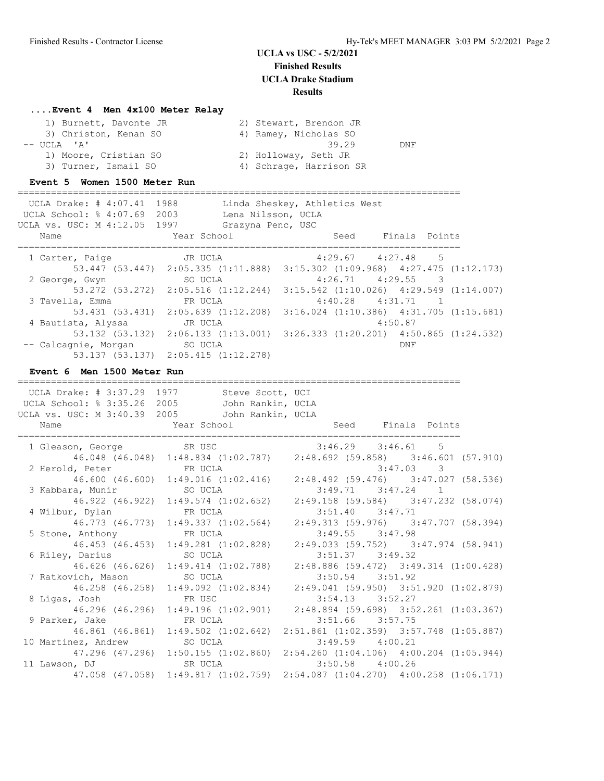### **....Event 4 Men 4x100 Meter Relay**

| 1) Burnett, Davonte JR | 2) Stewart, Brendon JR  |     |
|------------------------|-------------------------|-----|
| 3) Christon, Kenan SO  | 4) Ramey, Nicholas SO   |     |
| $--$ UCLA $'A'$        | 39.29                   | DNF |
| 1) Moore, Cristian SO  | 2) Holloway, Seth JR    |     |
| 3) Turner, Ismail SO   | 4) Schrage, Harrison SR |     |

#### **Event 5 Women 1500 Meter Run**

================================================================================ UCLA Drake: # 4:07.41 1988 Linda Sheskey, Athletics West UCLA School: % 4:07.69 2003 Lena Nilsson, UCLA UCLA vs. USC: M 4:12.05 1997 Grazyna Penc, USC Name The Year School Contract Seed Finals Points ================================================================================ 1 Carter, Paige JR UCLA 4:29.67 4:27.48 5 53.447 (53.447) 2:05.335 (1:11.888) 3:15.302 (1:09.968) 4:27.475 (1:12.173) 2 George, Gwyn SO UCLA 4:26.71 4:29.55 3 53.272 (53.272) 2:05.516 (1:12.244) 3:15.542 (1:10.026) 4:29.549 (1:14.007) 3 Tavella, Emma FR UCLA 4:40.28 4:31.71 1 53.431 (53.431) 2:05.639 (1:12.208) 3:16.024 (1:10.386) 4:31.705 (1:15.681) 4 Bautista, Alyssa JR UCLA 4:50.87 53.132 (53.132) 2:06.133 (1:13.001) 3:26.333 (1:20.201) 4:50.865 (1:24.532) -- Calcagnie, Morgan SO UCLA BOSS SO UCLA 53.137 (53.137) 2:05.415 (1:12.278)

#### **Event 6 Men 1500 Meter Run**

================================================================================ UCLA Drake: # 3:37.29 1977 Steve Scott, UCI UCLA School: % 3:35.26 2005 John Rankin, UCLA UCLA vs. USC: M 3:40.39 2005 John Rankin, UCLA Name Year School Seed Finals Points ================================================================================ 1 Gleason, George SR USC 3:46.29 3:46.61 5 46.048 (46.048) 1:48.834 (1:02.787) 2:48.692 (59.858) 3:46.601 (57.910) 2 Herold, Peter FR UCLA 3:47.03 3 46.600 (46.600) 1:49.016 (1:02.416) 2:48.492 (59.476) 3:47.027 (58.536) 3 Kabbara, Munir SO UCLA 3:49.71 3:47.24 1 46.922 (46.922) 1:49.574 (1:02.652) 2:49.158 (59.584) 3:47.232 (58.074) 4 Wilbur, Dylan FR UCLA 3:51.40 3:47.71 46.773 (46.773) 1:49.337 (1:02.564) 2:49.313 (59.976) 3:47.707 (58.394) 5 Stone, Anthony FR UCLA 3:49.55 3:47.98 46.453 (46.453) 1:49.281 (1:02.828) 2:49.033 (59.752) 3:47.974 (58.941) 6 Riley, Darius SO UCLA 3:51.37 3:49.32 46.626 (46.626) 1:49.414 (1:02.788) 2:48.886 (59.472) 3:49.314 (1:00.428) 7 Ratkovich, Mason SO UCLA 3:50.54 3:51.92 46.258 (46.258) 1:49.092 (1:02.834) 2:49.041 (59.950) 3:51.920 (1:02.879) 8 Ligas, Josh FR USC 3:54.13 3:52.27 46.296 (46.296) FR USC 3:54.13 3:52.27<br>46.296 (46.296) 1:49.196 (1:02.901) 2:48.894 (59.698) 3:52.261 (1:03.367)<br>1.51.66 3:57.75 5:51.66 3:57.75 9 Parker, Jake 46.861 (46.861) 1:49.502 (1:02.642) 2:51.861 (1:02.359) 3:57.748 (1:05.887) 10 Martinez, Andrew SO UCLA 3:49.59 4:00.21 47.296 (47.296) 1:50.155 (1:02.860) 2:54.260 (1:04.106) 4:00.204 (1:05.944) 11 Lawson, DJ SR UCLA 3:50.58 4:00.26 47.058 (47.058) 1:49.817 (1:02.759) 2:54.087 (1:04.270) 4:00.258 (1:06.171)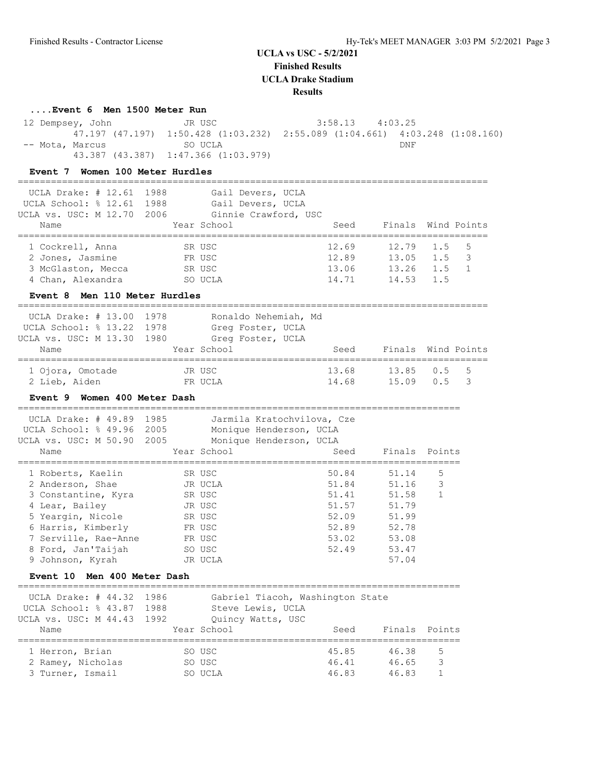**Finished Results**

**UCLA Drake Stadium**

#### **Results**

### **....Event 6 Men 1500 Meter Run**

 12 Dempsey, John JR USC 3:58.13 4:03.25 47.197 (47.197) 1:50.428 (1:03.232) 2:55.089 (1:04.661) 4:03.248 (1:08.160) -- Mota, Marcus SO UCLA 43.387 (43.387) 1:47.366 (1:03.979)

### **Event 7 Women 100 Meter Hurdles**

| UCLA Drake: $\#$ 12.61<br>UCLA School: % 12.61<br>UCLA vs. USC: M 12.70<br>Name                                                                                                                                            | 1988<br>1988<br>2006 | Gail Devers, UCLA<br>Gail Devers, UCLA<br>Ginnie Crawford, USC<br>Year School                   | Seed<br>------------                                                 | Finals Wind Points                                                            |                                      |             |
|----------------------------------------------------------------------------------------------------------------------------------------------------------------------------------------------------------------------------|----------------------|-------------------------------------------------------------------------------------------------|----------------------------------------------------------------------|-------------------------------------------------------------------------------|--------------------------------------|-------------|
| 1 Cockrell, Anna<br>2 Jones, Jasmine<br>3 McGlaston, Mecca<br>4 Chan, Alexandra                                                                                                                                            |                      | SR USC<br>FR USC<br>SR USC<br>SO UCLA                                                           | 12.69<br>12.89<br>13.06<br>14.71                                     | 12.79<br>13.05<br>13.26<br>14.53                                              | 1.5<br>1.5<br>1.5<br>1.5             | 5<br>3<br>1 |
| Event 8 Men 110 Meter Hurdles<br>UCLA Drake: # 13.00                                                                                                                                                                       | 1978                 | Ronaldo Nehemiah, Md                                                                            |                                                                      |                                                                               |                                      |             |
| UCLA School: % 13.22<br>UCLA vs. USC: M 13.30<br>Name                                                                                                                                                                      | 1978<br>1980         | Greg Foster, UCLA<br>Greq Foster, UCLA<br>Year School                                           | Seed                                                                 | Finals Wind Points                                                            |                                      |             |
| 1 Ojora, Omotade<br>2 Lieb, Aiden<br>Event 9 Women 400 Meter Dash                                                                                                                                                          |                      | JR USC<br>FR UCLA                                                                               | 13.68<br>14.68                                                       | 13.85<br>15.09                                                                | 0.5<br>0.5                           | 5<br>3      |
| UCLA Drake: # 49.89<br>UCLA School: % 49.96<br>UCLA vs. USC: M 50.90<br>Name                                                                                                                                               | 1985<br>2005<br>2005 | Jarmila Kratochvilova, Cze<br>Monique Henderson, UCLA<br>Monique Henderson, UCLA<br>Year School | Seed                                                                 | Finals                                                                        | Points                               |             |
| 1 Roberts, Kaelin<br>2 Anderson, Shae<br>3 Constantine, Kyra<br>4 Lear, Bailey<br>5 Yeargin, Nicole<br>6 Harris, Kimberly<br>7 Serville, Rae-Anne<br>8 Ford, Jan'Taijah<br>9 Johnson, Kyrah<br>Event 10 Men 400 Meter Dash |                      | SR USC<br>JR UCLA<br>SR USC<br>JR USC<br>SR USC<br>FR USC<br>FR USC<br>SO USC<br>JR UCLA        | 50.84<br>51.84<br>51.41<br>51.57<br>52.09<br>52.89<br>53.02<br>52.49 | 51.14<br>51.16<br>51.58<br>51.79<br>51.99<br>52.78<br>53.08<br>53.47<br>57.04 | __________<br>5<br>3<br>$\mathbf{1}$ |             |
| __________________________________<br>UCLA Drake: # 44.32<br>UCLA School: % 43.87<br>UCLA vs. USC: M 44.43<br>Name                                                                                                         | 1986<br>1988<br>1992 | Gabriel Tiacoh, Washington State<br>Steve Lewis, UCLA<br>Quincy Watts, USC<br>Year School       | Seed                                                                 | Finals                                                                        | Points                               |             |

 1 Herron, Brian SO USC 45.85 46.38 5 2 Ramey, Nicholas SO USC 46.41 46.65 3 3 Turner, Ismail SO UCLA 46.83 46.83 1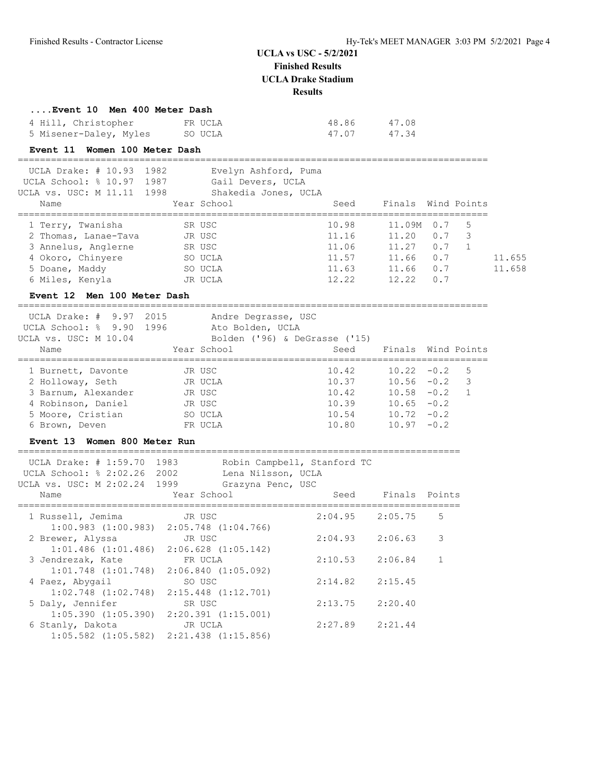**Finished Results**

**UCLA Drake Stadium**

**Results**

| Event 10 Men 400 Meter Dash |         |       |       |
|-----------------------------|---------|-------|-------|
| 4 Hill, Christopher         | FR UCLA | 48.86 | 47.08 |
| 5 Misener-Daley, Myles      | SO UCLA | 47.07 | 47.34 |

### **Event 11 Women 100 Meter Dash**

| UCLA Drake: # 10.93 1982<br>UCLA School: % 10.97 1987<br>UCLA vs. USC: M 11.11 1998 | Evelyn Ashford, Puma<br>Gail Devers, UCLA<br>Shakedia Jones, UCLA |       |                    |     |    |        |
|-------------------------------------------------------------------------------------|-------------------------------------------------------------------|-------|--------------------|-----|----|--------|
| Name                                                                                | Year School                                                       | Seed  | Finals Wind Points |     |    |        |
|                                                                                     |                                                                   |       |                    |     |    |        |
| 1 Terry, Twanisha                                                                   | SR USC                                                            | 10.98 | 11.09M             | 0.7 | .5 |        |
| 2 Thomas, Lanae-Tava                                                                | JR USC                                                            | 11.16 | 11.20              | 0.7 | 3  |        |
| 3 Annelus, Anglerne                                                                 | SR USC                                                            | 11.06 | 11.27              | 0.7 |    |        |
| 4 Okoro, Chinyere                                                                   | SO UCLA                                                           | 11.57 | 11.66              | 0.7 |    | 11.655 |
| 5 Doane, Maddy                                                                      | SO UCLA                                                           | 11.63 | 11.66              | 0.7 |    | 11.658 |
| 6 Miles, Kenyla                                                                     | JR UCLA                                                           | 12.22 | 12.22              | 0.7 |    |        |
|                                                                                     |                                                                   |       |                    |     |    |        |

## **Event 12 Men 100 Meter Dash**

===================================================================================== ---<br>--be: # 9.97 2015 Andr

| UCLA Drake: # 9.97 2015 | Andre Degrasse, USC      |                               |                    |                          |
|-------------------------|--------------------------|-------------------------------|--------------------|--------------------------|
| UCLA School: % 9.90     | 1996<br>Ato Bolden, UCLA |                               |                    |                          |
| UCLA vs. USC: M 10.04   |                          | Bolden ('96) & DeGrasse ('15) |                    |                          |
| Name                    | Year School              | Seed                          | Finals Wind Points |                          |
| 1 Burnett, Davonte      | JR USC                   | 10.42                         | $10.22 - 0.2$ 5    |                          |
| 2 Holloway, Seth        | JR UCLA                  | 10.37                         | $10.56 - 0.2$      | $\overline{\phantom{a}}$ |
| 3 Barnum, Alexander     | JR USC                   | 10.42                         | $10.58 - 0.2$      | $\overline{1}$           |
| 4 Robinson, Daniel      | JR USC                   | 10.39                         | $10.65 - 0.2$      |                          |
| 5 Moore, Cristian       | SO UCLA                  | 10.54                         | $10.72 - 0.2$      |                          |
| 6 Brown, Deven          | FR UCLA                  | 10.80                         | $10.97 - 0.2$      |                          |
|                         |                          |                               |                    |                          |

## **Event 13 Women 800 Meter Run**

| Name |                                                                                                                                                   |                                                                     |                                                                                                                                                                                                                                                                                                                                                     |                                         |                                                                                                                                                                        |
|------|---------------------------------------------------------------------------------------------------------------------------------------------------|---------------------------------------------------------------------|-----------------------------------------------------------------------------------------------------------------------------------------------------------------------------------------------------------------------------------------------------------------------------------------------------------------------------------------------------|-----------------------------------------|------------------------------------------------------------------------------------------------------------------------------------------------------------------------|
|      | JR USC                                                                                                                                            |                                                                     |                                                                                                                                                                                                                                                                                                                                                     | 2:05.75                                 | 5                                                                                                                                                                      |
|      |                                                                                                                                                   |                                                                     |                                                                                                                                                                                                                                                                                                                                                     |                                         |                                                                                                                                                                        |
|      | JR USC                                                                                                                                            |                                                                     |                                                                                                                                                                                                                                                                                                                                                     | 2:06.63                                 | 3                                                                                                                                                                      |
|      |                                                                                                                                                   |                                                                     |                                                                                                                                                                                                                                                                                                                                                     |                                         |                                                                                                                                                                        |
|      |                                                                                                                                                   |                                                                     |                                                                                                                                                                                                                                                                                                                                                     |                                         | $\mathbf{1}$                                                                                                                                                           |
|      |                                                                                                                                                   |                                                                     |                                                                                                                                                                                                                                                                                                                                                     |                                         |                                                                                                                                                                        |
|      | SO USC                                                                                                                                            |                                                                     |                                                                                                                                                                                                                                                                                                                                                     |                                         |                                                                                                                                                                        |
|      |                                                                                                                                                   |                                                                     |                                                                                                                                                                                                                                                                                                                                                     |                                         |                                                                                                                                                                        |
|      | SR USC                                                                                                                                            |                                                                     |                                                                                                                                                                                                                                                                                                                                                     |                                         |                                                                                                                                                                        |
|      |                                                                                                                                                   |                                                                     |                                                                                                                                                                                                                                                                                                                                                     |                                         |                                                                                                                                                                        |
|      |                                                                                                                                                   |                                                                     |                                                                                                                                                                                                                                                                                                                                                     |                                         |                                                                                                                                                                        |
|      |                                                                                                                                                   |                                                                     |                                                                                                                                                                                                                                                                                                                                                     |                                         |                                                                                                                                                                        |
|      | UCLA Drake: $\#$ 1:59.70<br>1 Russell, Jemima<br>2 Brewer, Alyssa<br>3 Jendrezak, Kate<br>4 Paez, Abygail<br>5 Daly, Jennifer<br>6 Stanly, Dakota | 1983<br>UCLA School: % 2:02.26 2002<br>UCLA vs. USC: M 2:02.24 1999 | Year School<br>$1:00.983$ $(1:00.983)$ $2:05.748$ $(1:04.766)$<br>$1:01.486$ $(1:01.486)$ $2:06.628$ $(1:05.142)$<br>FR UCLA<br>$1:01.748$ $(1:01.748)$ $2:06.840$ $(1:05.092)$<br>$1:02.748$ $(1:02.748)$ $2:15.448$ $(1:12.701)$<br>$1:05.390$ $(1:05.390)$ $2:20.391$ $(1:15.001)$<br>JR UCLA<br>$1:05.582$ $(1:05.582)$ $2:21.438$ $(1:15.856)$ | Lena Nilsson, UCLA<br>Grazyna Penc, USC | Robin Campbell, Stanford TC<br>Finals Points<br>Seed<br>2:04.95<br>2:04.93<br>$2:10.53$ $2:06.84$<br>$2:14.82$ $2:15.45$<br>$2:13.75$ $2:20.40$<br>$2:27.89$ $2:21.44$ |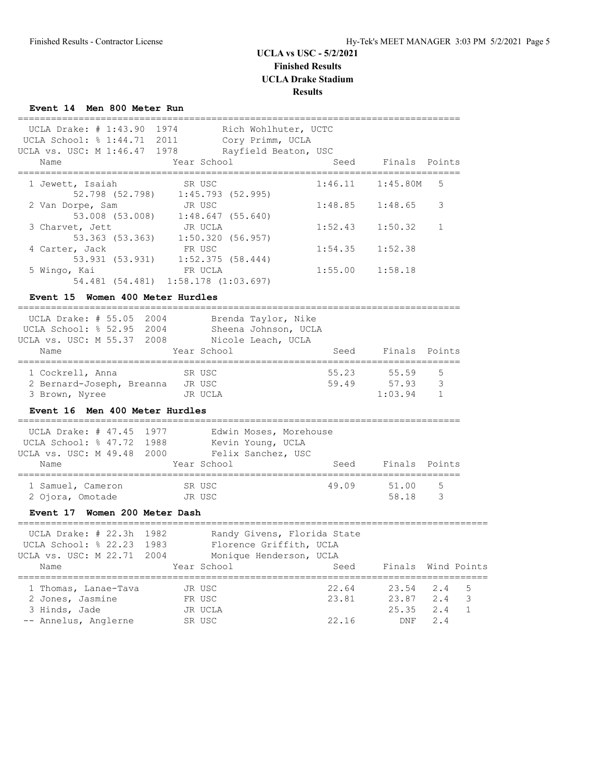## **Event 14 Men 800 Meter Run**

| UCLA Drake: # 1:43.90 1974                                                                                                                                 |                  | Rich Wohlhuter, UCTC                                              |         |                |                    |
|------------------------------------------------------------------------------------------------------------------------------------------------------------|------------------|-------------------------------------------------------------------|---------|----------------|--------------------|
| UCLA School: % 1:44.71 2011<br>UCLA vs. USC: M 1:46.47                                                                                                     | 1978             | Cory Primm, UCLA<br>Rayfield Beaton, USC                          |         |                |                    |
| Name                                                                                                                                                       | Year School      |                                                                   | Seed    | Finals Points  |                    |
| 1 Jewett, Isaiah<br>52.798 (52.798) 1:45.793 (52.995)                                                                                                      | SR USC           |                                                                   | 1:46.11 | 1:45.80M       | 5                  |
| 2 Van Dorpe, Sam<br>53.008 (53.008) 1:48.647 (55.640)                                                                                                      | JR USC           |                                                                   | 1:48.85 | 1:48.65        | 3                  |
| 3 Charvet, Jett<br>53.363 (53.363) 1:50.320 (56.957)                                                                                                       | JR UCLA          |                                                                   | 1:52.43 | 1:50.32        | $\mathbf{1}$       |
| 4 Carter, Jack<br>53.931 (53.931) 1:52.375 (58.444)                                                                                                        | FR USC           |                                                                   | 1:54.35 | 1:52.38        |                    |
| 5 Wingo, Kai<br>54.481 (54.481) 1:58.178 (1:03.697)                                                                                                        | FR UCLA          |                                                                   | 1:55.00 | 1:58.18        |                    |
| Event 15 Women 400 Meter Hurdles                                                                                                                           |                  |                                                                   |         |                |                    |
| UCLA Drake: # 55.05 2004<br>UCLA School: % 52.95 2004<br>UCLA vs. USC: M 55.37 2008                                                                        |                  | Brenda Taylor, Nike<br>Sheena Johnson, UCLA<br>Nicole Leach, UCLA |         |                |                    |
| Name<br>------------------                                                                                                                                 | Year School      |                                                                   | Seed    | Finals Points  |                    |
| 1 Cockrell, Anna                                                                                                                                           | SR USC           |                                                                   | 55.23   | 55.59          | 5                  |
| 2 Bernard-Joseph, Breanna JR USC                                                                                                                           |                  |                                                                   | 59.49   | 57.93          | 3                  |
| 3 Brown, Nyree<br>Event 16 Men 400 Meter Hurdles                                                                                                           | JR UCLA          |                                                                   |         | 1:03.94        | $\mathbf{1}$       |
| UCLA Drake: # 47.45 1977<br>UCLA School: % 47.72<br>1988<br>UCLA vs. USC: M 49.48 2000 Felix Sanchez, USC                                                  |                  | Edwin Moses, Morehouse<br>Kevin Young, UCLA                       |         |                |                    |
| Name<br>=======================                                                                                                                            | Year School      |                                                                   | Seed    | Finals Points  |                    |
| 1 Samuel, Cameron<br>2 Ojora, Omotade                                                                                                                      | SR USC<br>JR USC |                                                                   | 49.09   | 51.00<br>58.18 | 5<br>3             |
| Event 17 Women 200 Meter Dash                                                                                                                              |                  |                                                                   |         |                |                    |
| ________________________________<br>UCLA Drake: # 22.3h<br>1982<br>UCLA School: % 22.23 1983<br>UCLA vs. USC: M 22.71 2004 Monique Henderson, UCLA<br>Name | Year School      | Randy Givens, Florida State<br>Florence Griffith, UCLA            | Seed    |                | Finals Wind Points |
| 1 Thomas, Lanae-Tava                                                                                                                                       | JR USC           |                                                                   | 22.64   | 23.54          | 2.4<br>5           |
| 2 Jones, Jasmine                                                                                                                                           | FR USC           |                                                                   | 23.81   | 23.87          | 2.4<br>3           |
| 3 Hinds, Jade                                                                                                                                              | JR UCLA          |                                                                   |         | 25.35          | 2.4<br>$\mathbf 1$ |
| -- Annelus, Anglerne                                                                                                                                       | SR USC           |                                                                   | 22.16   | DNF            | 2.4                |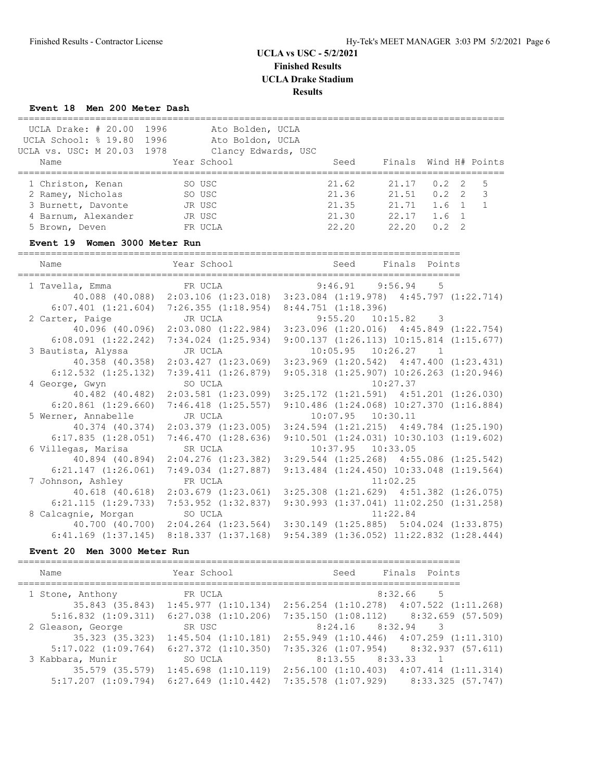# **Event 18 Men 200 Meter Dash**

| <b>Lvent</b> 18<br>men zuu meter Dasn |                                                                             |                         |                                                  |                |                  |               |
|---------------------------------------|-----------------------------------------------------------------------------|-------------------------|--------------------------------------------------|----------------|------------------|---------------|
| UCLA Drake: # 20.00 1996              | Ato Bolden, UCLA                                                            |                         |                                                  |                |                  |               |
| UCLA School: % 19.80 1996             | Ato Boldon, UCLA                                                            |                         |                                                  |                |                  |               |
| UCLA vs. USC: M 20.03 1978            | Clancy Edwards, USC                                                         |                         |                                                  |                |                  |               |
| Name                                  | Year School                                                                 | Seed                    | Finals Wind H# Points                            |                |                  |               |
| 1 Christon, Kenan                     | SO USC                                                                      | 21.62                   | 21.17                                            | 0.2            | 2                | 5             |
| 2 Ramey, Nicholas                     | <b>Example 25 SO USC</b>                                                    | 21.36                   | 21.51                                            |                | $0.2 \quad 2$    | $\mathcal{S}$ |
| 3 Burnett, Davonte                    | JR USC                                                                      | 21.35                   | 21.71                                            |                | 1.6 <sub>1</sub> | $\mathbf{1}$  |
| 4 Barnum, Alexander                   | JR USC                                                                      | 21.30                   | 22.17                                            | $1.6 \quad 1$  |                  |               |
| 5 Brown, Deven                        | FR UCLA                                                                     | 22.20                   | 22.20                                            | $0.2 \quad 2$  |                  |               |
| Event 19 Women 3000 Meter Run         |                                                                             |                         |                                                  |                |                  |               |
| Name                                  | Year School                                                                 | Seed                    | Finals Points                                    |                |                  |               |
| 1 Tavella, Emma                       | FR UCLA                                                                     | 9:46.91                 | 9:56.94                                          | $-5$           |                  |               |
|                                       | 40.088 (40.088) 2:03.106 (1:23.018) 3:23.084 (1:19.978) 4:45.797 (1:22.714) |                         |                                                  |                |                  |               |
|                                       | $6:07.401$ $(1:21.604)$ $7:26.355$ $(1:18.954)$                             | $8:44.751$ $(1:18.396)$ |                                                  |                |                  |               |
| 2 Carter, Paige                       | JR UCLA                                                                     |                         | $9:55.20$ 10:15.82                               | -3             |                  |               |
| 40.096 (40.096)                       | $2:03.080$ $(1:22.984)$                                                     |                         | $3:23.096$ $(1:20.016)$ $4:45.849$ $(1:22.754)$  |                |                  |               |
| $6:08.091$ $(1:22.242)$               | $7:34.024$ $(1:25.934)$                                                     |                         | $9:00.137$ $(1:26.113)$ $10:15.814$ $(1:15.677)$ |                |                  |               |
| 3 Bautista, Alyssa                    | JR UCLA                                                                     |                         | $10:05.95$ $10:26.27$                            | $\overline{1}$ |                  |               |
| 40.358 (40.358)                       | 2:03.427(1:23.069)                                                          |                         | $3:23.969$ $(1:20.542)$ $4:47.400$ $(1:23.431)$  |                |                  |               |
| $6:12.532$ $(1:25.132)$               | 7:39.411(1:26.879)                                                          |                         | $9:05.318$ $(1:25.907)$ $10:26.263$ $(1:20.946)$ |                |                  |               |
| 4 George, Gwyn                        | SO UCLA                                                                     |                         | 10:27.37                                         |                |                  |               |
| 40.482 (40.482)                       | $2:03.581$ $(1:23.099)$                                                     |                         | $3:25.172$ $(1:21.591)$ $4:51.201$ $(1:26.030)$  |                |                  |               |
| $6:20.861$ $(1:29.660)$               | $7:46.418$ $(1:25.557)$                                                     |                         | $9:10.486$ $(1:24.068)$ $10:27.370$ $(1:16.884)$ |                |                  |               |
| 5 Werner, Annabelle                   | JR UCLA                                                                     |                         | 10:07.95  10:30.11                               |                |                  |               |
| 40.374 (40.374)                       | $2:03.379$ $(1:23.005)$                                                     |                         | $3:24.594$ $(1:21.215)$ $4:49.784$ $(1:25.190)$  |                |                  |               |
| 6:17.835(1:28.051)                    | 7:46.470(1:28.636)                                                          |                         | $9:10.501$ $(1:24.031)$ $10:30.103$ $(1:19.602)$ |                |                  |               |
| 6 Villegas, Marisa                    | SR UCLA                                                                     |                         | $10:37.95$ $10:33.05$                            |                |                  |               |
| 40.894 (40.894)                       | $2:04.276$ $(1:23.382)$                                                     |                         | $3:29.544$ $(1:25.268)$ $4:55.086$ $(1:25.542)$  |                |                  |               |
| $6:21.147$ $(1:26.061)$               | $7:49.034$ $(1:27.887)$                                                     |                         | $9:13.484$ $(1:24.450)$ $10:33.048$ $(1:19.564)$ |                |                  |               |
| 7 Johnson, Ashley                     | FR UCLA                                                                     |                         | 11:02.25                                         |                |                  |               |
| 40.618 (40.618)                       | $2:03.679$ (1:23.061) 3:25.308 (1:21.629) 4:51.382 (1:26.075)               |                         |                                                  |                |                  |               |
| $6:21.115$ $(1:29.733)$               | $7:53.952$ $(1:32.837)$                                                     |                         | $9:30.993$ $(1:37.041)$ $11:02.250$ $(1:31.258)$ |                |                  |               |
| 8 Calcagnie, Morgan                   | SO UCLA                                                                     |                         | 11:22.84                                         |                |                  |               |
| 40.700 (40.700)                       | $2:04.264$ $(1:23.564)$                                                     |                         | $3:30.149$ $(1:25.885)$ $5:04.024$ $(1:33.875)$  |                |                  |               |

## **Event 20 Men 3000 Meter Run**

| Name                    | Year School                                     | Finals Points<br>Seed                           |
|-------------------------|-------------------------------------------------|-------------------------------------------------|
| 1 Stone, Anthony        | FR UCLA                                         | 8:32.66 5                                       |
|                         | 35.843 (35.843) 1:45.977 (1:10.134)             | $2:56.254$ $(1:10.278)$ $4:07.522$ $(1:11.268)$ |
| $5:16.832$ $(1:09.311)$ | $6:27.038$ $(1:10.206)$                         | $7:35.150$ $(1:08.112)$ $8:32.659$ $(57.509)$   |
| 2 Gleason, George       | SR USC                                          | $8:24.16$ $8:32.94$<br>3                        |
| 35.323 (35.323)         | $1:45.504$ $(1:10.181)$                         | $2:55.949$ $(1:10.446)$ $4:07.259$ $(1:11.310)$ |
|                         | $5:17.022$ $(1:09.764)$ $6:27.372$ $(1:10.350)$ | $7:35.326$ $(1:07.954)$ $8:32.937$ $(57.611)$   |
| 3 Kabbara, Munir        | SO UCLA                                         | $8:13.55$ $8:33.33$ 1                           |
| 35.579 (35.579)         | $1:45.698$ $(1:10.119)$                         | $2:56.100$ $(1:10.403)$ $4:07.414$ $(1:11.314)$ |
|                         | $5:17.207$ $(1:09.794)$ $6:27.649$ $(1:10.442)$ | $7:35.578$ $(1:07.929)$ $8:33.325$ $(57.747)$   |

6:41.169 (1:37.145) 8:18.337 (1:37.168) 9:54.389 (1:36.052) 11:22.832 (1:28.444)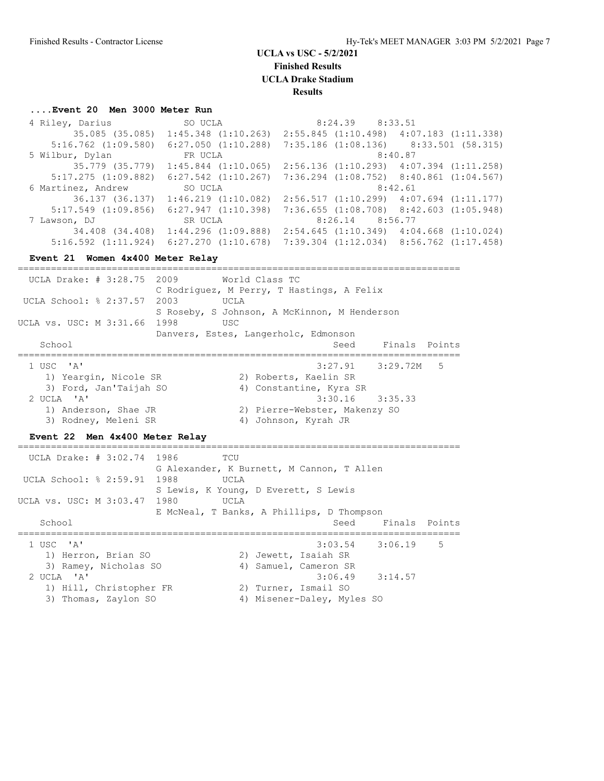**Finished Results**

**UCLA Drake Stadium**

**Results**

### **....Event 20 Men 3000 Meter Run**

| 4 Riley, Darius                                 |                                                                                                                                                                                                                                                                                                   |
|-------------------------------------------------|---------------------------------------------------------------------------------------------------------------------------------------------------------------------------------------------------------------------------------------------------------------------------------------------------|
| 35.085 (35.085)<br>$1:45.348$ $(1:10.263)$      |                                                                                                                                                                                                                                                                                                   |
| $6:27.050$ $(1:10.288)$                         | $7:35.186$ (1:08.136) 8:33.501 (58.315)                                                                                                                                                                                                                                                           |
| FR UCLA                                         | 8:40.87                                                                                                                                                                                                                                                                                           |
| $1:45.844$ $(1:10.065)$                         | $2:56.136$ $(1:10.293)$ $4:07.394$ $(1:11.258)$                                                                                                                                                                                                                                                   |
| $6:27.542$ $(1:10.267)$                         |                                                                                                                                                                                                                                                                                                   |
| 6 Martinez, Andrew SO UCLA                      | 8:42.61                                                                                                                                                                                                                                                                                           |
| 36.137 (36.137)<br>$1:46.219$ $(1:10.082)$      |                                                                                                                                                                                                                                                                                                   |
| 6:27.947(1:10.398)                              | $7:36.655$ $(1:08.708)$ $8:42.603$ $(1:05.948)$                                                                                                                                                                                                                                                   |
| SR UCLA                                         |                                                                                                                                                                                                                                                                                                   |
| 34.408 (34.408)<br>$1:44.296$ $(1:09.888)$      |                                                                                                                                                                                                                                                                                                   |
| $5:16.592$ $(1:11.924)$ $6:27.270$ $(1:10.678)$ |                                                                                                                                                                                                                                                                                                   |
|                                                 | SO UCLA 8:24.39 8:33.51<br>$2:55.845$ $(1:10.498)$ $4:07.183$ $(1:11.338)$<br>$7:36.294$ $(1:08.752)$ $8:40.861$ $(1:04.567)$<br>$2:56.517$ $(1:10.299)$ $4:07.694$ $(1:11.177)$<br>8:26.14 8:56.77<br>$2:54.645$ $(1:10.349)$ $4:04.668$ $(1:10.024)$<br>7:39.304 (1:12.034) 8:56.762 (1:17.458) |

#### **Event 21 Women 4x400 Meter Relay**

| UCLA Drake: # 3:28.75 2009     |                                              | World Class TC          |                               |                    |  |
|--------------------------------|----------------------------------------------|-------------------------|-------------------------------|--------------------|--|
|                                | C Rodriquez, M Perry, T Hastings, A Felix    |                         |                               |                    |  |
| UCLA School: % 2:37.57 2003    | UCLA                                         |                         |                               |                    |  |
|                                | S Roseby, S Johnson, A McKinnon, M Henderson |                         |                               |                    |  |
| UCLA vs. USC: M 3:31.66 1998   | USC                                          |                         |                               |                    |  |
|                                | Danvers, Estes, Langerholc, Edmonson         |                         |                               |                    |  |
| School                         |                                              |                         |                               | Seed Finals Points |  |
| 1 USC 'A'                      |                                              |                         | $3:27.91$ $3:29.72M$ 5        |                    |  |
|                                |                                              |                         |                               |                    |  |
| 1) Yeargin, Nicole SR          |                                              | 2) Roberts, Kaelin SR   |                               |                    |  |
| 3) Ford, Jan'Taijah SO         |                                              | 4) Constantine, Kyra SR |                               |                    |  |
| $2$ UCLA $'A'$                 |                                              |                         | $3:30.16$ $3:35.33$           |                    |  |
| 1) Anderson, Shae JR           |                                              |                         | 2) Pierre-Webster, Makenzy SO |                    |  |
| 3) Rodney, Meleni SR           |                                              | 4) Johnson, Kyrah JR    |                               |                    |  |
| Event 22 Men 4x400 Meter Relay |                                              |                         |                               |                    |  |

## ================================================================================ UCLA Drake: # 3:02.74 1986 TCU G Alexander, K Burnett, M Cannon, T Allen UCLA School: % 2:59.91 1988 UCLA S Lewis, K Young, D Everett, S Lewis UCLA vs. USC: M 3:03.47 1980 UCLA E McNeal, T Banks, A Phillips, D Thompson School Seed Finals Points Seed Finals Points Seed Finals Points Seed Finals Points Seed Finals Points Seed Finals Points Seed Finals Points Seed Finals Points Seed Finals Points Seed Finals Points Seed Finals Points Seed F ================================================================================ 1 USC 'A' 3:03.54 3:06.19 5 1) Herron, Brian SO 2) Jewett, Isaiah SR 3) Ramey, Nicholas SO 4) Samuel, Cameron SR 2 UCLA 'A' 3:06.49 3:14.57 1) Hill, Christopher FR 2) Turner, Ismail SO 3) Thomas, Zaylon SO 4) Misener-Daley, Myles SO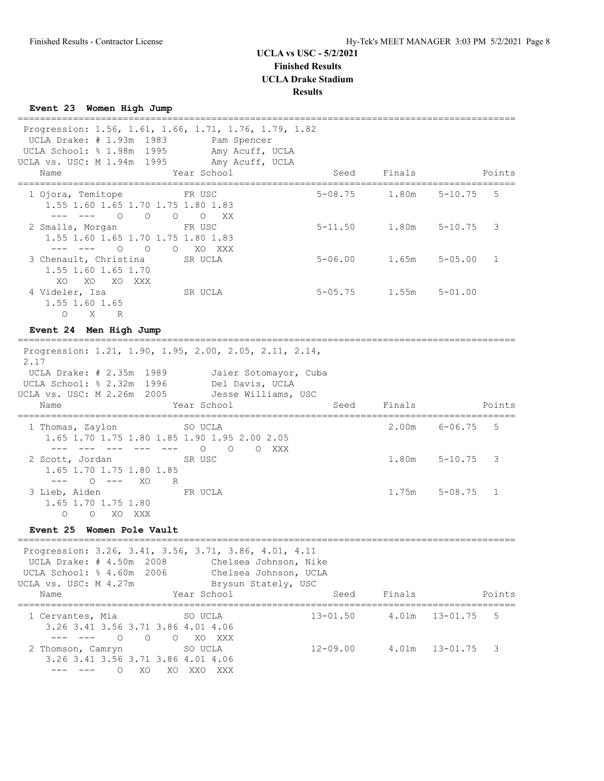# **UCLA vs USC - 5/2/2021 Finished Results**

**UCLA Drake Stadium**

### **Results**

# **Event 23 Women High Jump**

| Progression: 1.56, 1.61, 1.66, 1.71, 1.76, 1.79, 1.82<br>UCLA Drake: # 1.93m 1983<br>UCLA School: % 1.98m<br>1995<br>UCLA vs. USC: M 1.94m 1995<br>Name<br>===================================                                                                                                                                                                                                                                                                        | Pam Spencer<br>Amy Acuff, UCLA<br>Amy Acuff, UCLA<br>Year School      | Seed<br>======= | Finals            |                                 | Points       |
|-----------------------------------------------------------------------------------------------------------------------------------------------------------------------------------------------------------------------------------------------------------------------------------------------------------------------------------------------------------------------------------------------------------------------------------------------------------------------|-----------------------------------------------------------------------|-----------------|-------------------|---------------------------------|--------------|
| 1 Ojora, Temitope<br>1.55 1.60 1.65 1.70 1.75 1.80 1.83<br>___ ___<br>$\circ$<br>$\circ$                                                                                                                                                                                                                                                                                                                                                                              | FR USC<br>$\circ$<br>$\circ$<br>XX                                    | $5 - 08.75$     | 1.80m             | $5 - 10.75$                     | 5            |
| 2 Smalls, Morgan<br>1.55 1.60 1.65 1.70 1.75 1.80 1.83<br>$\Omega$<br>$\circ$                                                                                                                                                                                                                                                                                                                                                                                         | FR USC<br>$\Omega$<br>XO XXX                                          | $5 - 11.50$     | 1.80m             | $5 - 10.75$                     | 3            |
| 3 Chenault, Christina<br>1.55 1.60 1.65 1.70<br>XO.<br>XO XO XXX                                                                                                                                                                                                                                                                                                                                                                                                      | SR UCLA                                                               | $5 - 06.00$     | 1.65m             | $5 - 05.00$                     | $\mathbf{1}$ |
| 4 Videler, Isa<br>1.55 1.60 1.65<br>O X R                                                                                                                                                                                                                                                                                                                                                                                                                             | SR UCLA                                                               | $5 - 05$ .75    | 1.55m             | $5 - 01.00$                     |              |
| Event 24 Men High Jump                                                                                                                                                                                                                                                                                                                                                                                                                                                |                                                                       |                 |                   |                                 |              |
| Progression: 1.21, 1.90, 1.95, 2.00, 2.05, 2.11, 2.14,<br>2.17<br>UCLA Drake: # 2.35m 1989<br>UCLA School: % 2.32m 1996<br>UCLA vs. USC: M 2.26m 2005                                                                                                                                                                                                                                                                                                                 | Jaier Sotomayor, Cuba<br>Del Davis, UCLA<br>Jesse Williams, USC       |                 |                   |                                 |              |
| Name                                                                                                                                                                                                                                                                                                                                                                                                                                                                  | Year School                                                           | Seed            | Finals            |                                 | Points       |
| 1 Thomas, Zaylon<br>1.65 1.70 1.75 1.80 1.85 1.90 1.95 2.00 2.05<br>___   ___    ___                                                                                                                                                                                                                                                                                                                                                                                  | SO UCLA<br>$\bigcirc$<br>$\Omega$<br>O XXX                            |                 | 2.00 <sub>m</sub> | ________________<br>$6 - 06.75$ | 5            |
| 2 Scott, Jordan<br>1.65 1.70 1.75 1.80 1.85<br>$\frac{1}{2} \frac{1}{2} \frac{1}{2} \frac{1}{2} \frac{1}{2} \frac{1}{2} \frac{1}{2} \frac{1}{2} \frac{1}{2} \frac{1}{2} \frac{1}{2} \frac{1}{2} \frac{1}{2} \frac{1}{2} \frac{1}{2} \frac{1}{2} \frac{1}{2} \frac{1}{2} \frac{1}{2} \frac{1}{2} \frac{1}{2} \frac{1}{2} \frac{1}{2} \frac{1}{2} \frac{1}{2} \frac{1}{2} \frac{1}{2} \frac{1}{2} \frac{1}{2} \frac{1}{2} \frac{1}{2} \frac{$<br>$\bigcirc$ $---$<br>XO | SR USC                                                                |                 | 1.80m             | $5 - 10.75$                     | 3            |
|                                                                                                                                                                                                                                                                                                                                                                                                                                                                       |                                                                       |                 |                   |                                 |              |
| 3 Lieb, Aiden<br>1.65 1.70 1.75 1.80<br>XO XXX<br>$\circ$<br>$\circ$                                                                                                                                                                                                                                                                                                                                                                                                  | R<br>FR UCLA                                                          |                 | 1.75m             | $5 - 08.75$                     | 1            |
| Event 25 Women Pole Vault                                                                                                                                                                                                                                                                                                                                                                                                                                             |                                                                       |                 |                   |                                 |              |
| _________________<br>Progression: 3.26, 3.41, 3.56, 3.71, 3.86, 4.01, 4.11<br>UCLA Drake: # 4.50m<br>2008<br>UCLA School: % 4.60m<br>2006<br>UCLA vs. USC: M 4.27m                                                                                                                                                                                                                                                                                                    | Chelsea Johnson, Nike<br>Chelsea Johnson, UCLA<br>Brysun Stately, USC |                 |                   |                                 |              |
| Name                                                                                                                                                                                                                                                                                                                                                                                                                                                                  | Year School                                                           | Seed            | Finals            |                                 | Points       |
| 1 Cervantes, Mia<br>3.26 3.41 3.56 3.71 3.86 4.01 4.06<br>$\circ$<br>$\circ$                                                                                                                                                                                                                                                                                                                                                                                          | SO UCLA<br>XO XXX<br>$\circ$                                          | $13 - 01.50$    | 4.01m             | $13 - 01.75$                    | 5            |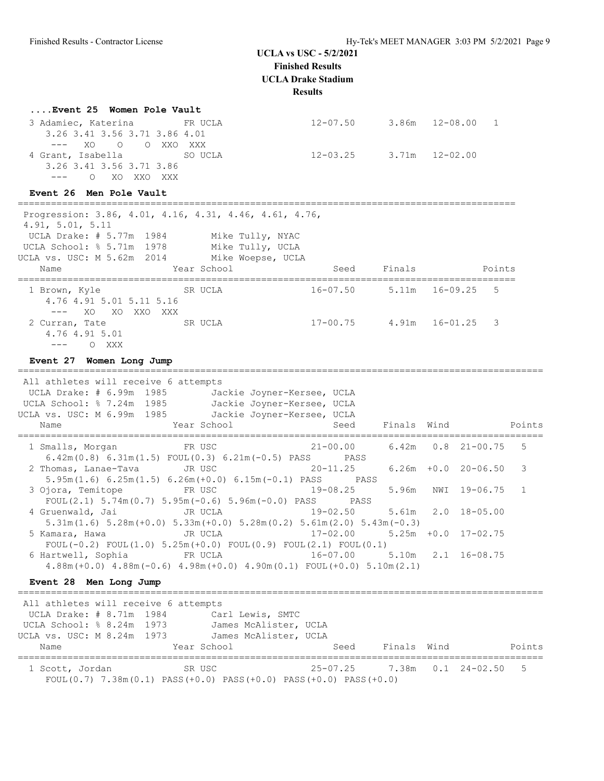### **UCLA vs USC - 5/2/2021**

**Finished Results UCLA Drake Stadium Results**

| Event 25 Women Pole Vault                                                                                                                                                                                   |                                  |                   |                                    |             |                          |        |
|-------------------------------------------------------------------------------------------------------------------------------------------------------------------------------------------------------------|----------------------------------|-------------------|------------------------------------|-------------|--------------------------|--------|
| 3 Adamiec, Katerina<br>3.26 3.41 3.56 3.71 3.86 4.01<br>$---$                                                                                                                                               | <b>ER UCLA</b><br>XO O O XXO XXX |                   | $12-07.50$ 3.86m $12-08.00$        |             |                          | 1      |
| 4 Grant, Isabella<br>3.26 3.41 3.56 3.71 3.86<br>O XO XXO XXX                                                                                                                                               | SO UCLA                          |                   | $12-03.25$ 3.71m $12-02.00$        |             |                          |        |
| Event 26 Men Pole Vault<br>_________________________                                                                                                                                                        |                                  |                   |                                    |             |                          |        |
| Progression: 3.86, 4.01, 4.16, 4.31, 4.46, 4.61, 4.76,<br>4.91, 5.01, 5.11<br>UCLA Drake: # 5.77m 1984 Mike Tully, NYAC<br>UCLA School: % 5.71m 1978 Mike Tully, UCLA<br>UCLA vs. USC: M 5.62m 2014<br>Name | Year School                      | Mike Woepse, UCLA | Seed                               | Finals      |                          | Points |
| 1 Brown, Kyle<br>4.76 4.91 5.01 5.11 5.16<br>--- XO XO XXO XXX                                                                                                                                              | SR UCLA                          |                   | $16-07.50$ 5.11m $16-09.25$        |             |                          | -5     |
| 2 Curran, Tate<br>4.76 4.91 5.01<br>$---$ 0 XXX                                                                                                                                                             | SR UCLA                          |                   | $17-00.75$ 4.91m $16-01.25$        |             |                          | 3      |
| Event 27 Women Long Jump                                                                                                                                                                                    |                                  |                   |                                    |             |                          |        |
| All athletes will receive 6 attempts<br>UCLA Drake: # 6.99m 1985<br>UCLA School: % 7.24m 1985 Jackie Joyner-Kersee, UCLA<br>UCLA vs. USC: M 6.99m 1985 Jackie Joyner-Kersee, UCLA<br>Name                   | Year School                      |                   | Jackie Joyner-Kersee, UCLA<br>Seed | Finals Wind |                          | Points |
| 1 Smalls, Morgan                                                                                                                                                                                            | FR USC                           |                   | $21 - 00.00$                       |             | $6.42m$ $0.8$ $21-00.75$ | 5      |

2 Thomas, Lanae-Tava JR USC 20-11.25 6.26m +0.0 20-06.50 3

4 Gruenwald, Jai JR UCLA 19-02.50 5.61m 2.0 18-05.00

3 Ojora, Temitope FR USC 19-08.25 5.96m NWI 19-06.75 1

| $5.31$ m $(1.6)$ $5.28$ m $(+0.0)$ $5.33$ m $(+0.0)$ $5.28$ m $(0.2)$ $5.61$ m $(2.0)$ $5.43$ m $(-0.3)$ |  |                                 |  |
|----------------------------------------------------------------------------------------------------------|--|---------------------------------|--|
| 5 Kamara, Hawa                         JR UCLA                                                           |  | $17-02.00$ 5.25m +0.0 17-02.75  |  |
| FOUL $(-0.2)$ FOUL $(1.0)$ 5.25m $(+0.0)$ FOUL $(0.9)$ FOUL $(2.1)$ FOUL $(0.1)$                         |  |                                 |  |
|                                                                                                          |  | $16-07.00$ 5.10m $2.1$ 16-08.75 |  |
| $4.88m (+0.0)$ $4.88m (-0.6)$ $4.98m (+0.0)$ $4.90m (0.1)$ $FOUL (+0.0)$ $5.10m (2.1)$                   |  |                                 |  |
|                                                                                                          |  |                                 |  |

5.95m(1.6) 6.25m(1.5) 6.26m(+0.0) 6.15m(-0.1) PASS PASS

FOUL(2.1) 5.74m(0.7) 5.95m(-0.6) 5.96m(-0.0) PASS PASS

6.42m(0.8) 6.31m(1.5) FOUL(0.3) 6.21m(-0.5) PASS PASS

## **Event 28 Men Long Jump**

 All athletes will receive 6 attempts UCLA Drake: # 8.71m 1984 Carl Lewis, SMTC UCLA School: % 8.24m 1973 James McAlister, UCLA UCLA vs. USC: M 8.24m 1973 James McAlister, UCLA Name Year School Seed Finals Wind Points =============================================================================================== 1 Scott, Jordan SR USC 25-07.25 7.38m 0.1 24-02.50 5 FOUL(0.7) 7.38m(0.1) PASS(+0.0) PASS(+0.0) PASS(+0.0) PASS(+0.0)

===============================================================================================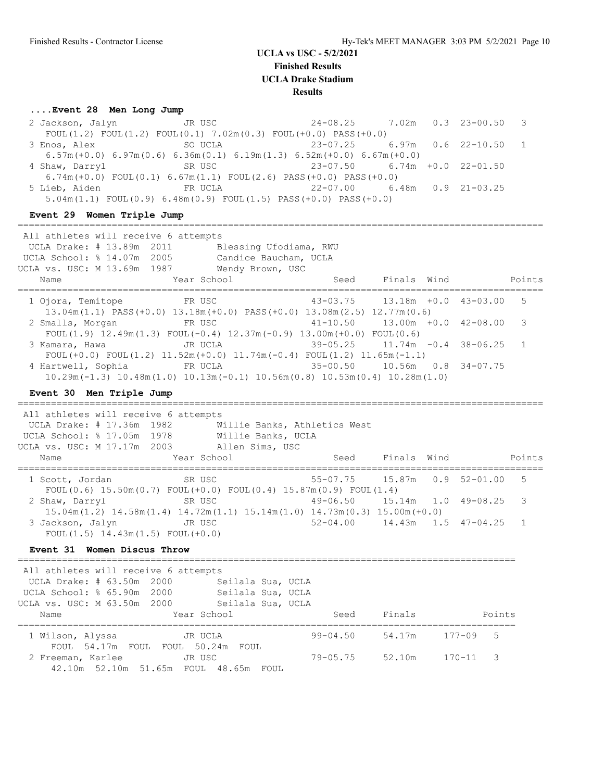### **....Event 28 Men Long Jump**

|                | 2 Jackson, Jalyn JR USC                                                              | $24-08.25$ 7.02m 0.3 23-00.50 3         |  |  |
|----------------|--------------------------------------------------------------------------------------|-----------------------------------------|--|--|
|                | FOUL(1.2) FOUL(1.2) FOUL(0.1) $7.02m(0.3)$ FOUL(+0.0) PASS(+0.0)                     |                                         |  |  |
| 3 Enos, Alex   | SO UCLA                                                                              |                                         |  |  |
|                | $6.57m (+0.0) 6.97m (0.6) 6.36m (0.1) 6.19m (1.3) 6.52m (+0.0) 6.67m (+0.0)$         |                                         |  |  |
| 4 Shaw, Darryl |                                                                                      |                                         |  |  |
|                | 6.74m $(+0.0)$ FOUL $(0.1)$ 6.67m $(1.1)$ FOUL $(2.6)$ PASS $(+0.0)$ PASS $(+0.0)$   |                                         |  |  |
|                | 5 Lieb, Aiden<br>FR UCLA                                                             | 22-07.00       6.48m       0.9 21-03.25 |  |  |
|                | $5.04$ m $(1.1)$ FOUL $(0.9)$ 6.48m $(0.9)$ FOUL $(1.5)$ PASS $(+0.0)$ PASS $(+0.0)$ |                                         |  |  |

#### **Event 29 Women Triple Jump**

=============================================================================================== All athletes will receive 6 attempts UCLA Drake: # 13.89m 2011 Blessing Ufodiama, RWU UCLA School: % 14.07m 2005 Candice Baucham, UCLA UCLA vs. USC: M 13.69m 1987 Wendy Brown, USC Name Year School Seed Finals Wind Points =============================================================================================== 1 Ojora, Temitope FR USC 43-03.75 13.18m +0.0 43-03.00 5 13.04m(1.1) PASS(+0.0) 13.18m(+0.0) PASS(+0.0) 13.08m(2.5) 12.77m(0.6) 2 Smalls, Morgan FR USC 41-10.50 13.00m +0.0 42-08.00 3 FOUL(1.9) 12.49m(1.3) FOUL(-0.4) 12.37m(-0.9) 13.00m(+0.0) FOUL(0.6) 3 Kamara, Hawa JR UCLA FOUL(+0.0) FOUL(1.2)  $11.52m(+0.0)$   $11.74m(-0.4)$  FOUL(1.2)  $11.65m(-1.1)$  4 Hartwell, Sophia FR UCLA 35-00.50 10.56m 0.8 34-07.75 10.29m(-1.3) 10.48m(1.0) 10.13m(-0.1) 10.56m(0.8) 10.53m(0.4) 10.28m(1.0)

### **Event 30 Men Triple Jump**

## ===============================================================================================

 All athletes will receive 6 attempts UCLA Drake: # 17.36m 1982 Willie Banks, Athletics West UCLA School: % 17.05m 1978 Willie Banks, UCLA UCLA vs. USC: M 17.17m 2003 Allen Sims, USC Name Year School Seed Finals Wind Points =============================================================================================== 1 Scott, Jordan SR USC 55-07.75 15.87m 0.9 52-01.00 5 FOUL(0.6) 15.50m(0.7) FOUL(+0.0) FOUL(0.4) 15.87m(0.9) FOUL(1.4) 2 Shaw, Darryl SR USC 49-06.50 15.14m 1.0 49-08.25 3 15.04m(1.2) 14.58m(1.4) 14.72m(1.1) 15.14m(1.0) 14.73m(0.3) 15.00m(+0.0) 3 Jackson, Jalyn JR USC 52-04.00 14.43m 1.5 47-04.25 1 FOUL(1.5) 14.43m(1.5) FOUL(+0.0)

#### **Event 31 Women Discus Throw**

 All athletes will receive 6 attempts UCLA Drake: # 63.50m 2000 Seilala Sua, UCLA UCLA School: % 65.90m 2000 Seilala Sua, UCLA UCLA vs. USC: M 63.50m 2000 Seilala Sua, UCLA Name Year School Seed Finals Points ========================================================================================== 99-04.50 54.17m 177-09 5 FOUL 54.17m FOUL FOUL 50.24m FOUL 2 Freeman, Karlee JR USC 79-05.75 52.10m 170-11 3 42.10m 52.10m 51.65m FOUL 48.65m FOUL

==========================================================================================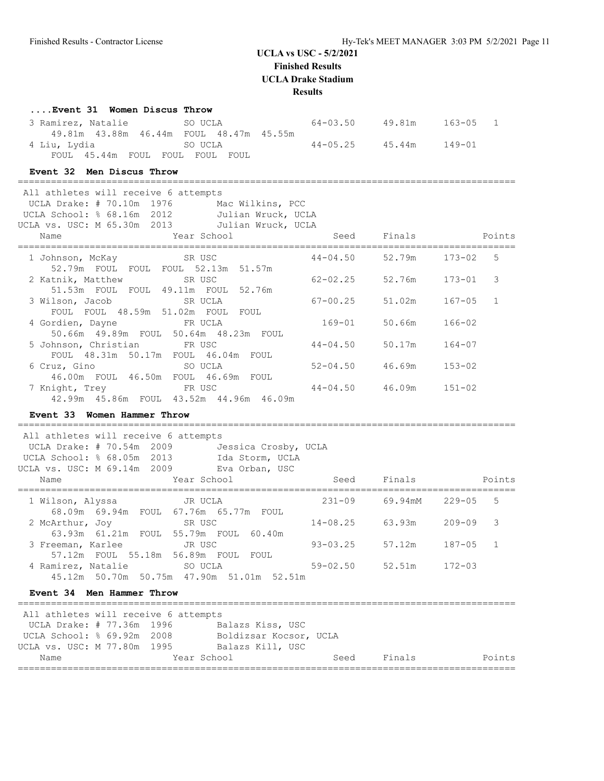**Finished Results**

**UCLA Drake Stadium**

**Results**

#### **....Event 31 Women Discus Throw**

| 3 Ramirez, Natalie | SO UCLA                                      | 64-03.50 | 49.81m | 163-05 1 |
|--------------------|----------------------------------------------|----------|--------|----------|
|                    | 49.81m  43.88m  46.44m  FOUL  48.47m  45.55m |          |        |          |
|                    |                                              | 44-05.25 | 45.44m | 149-01   |
|                    | FOUL 45.44m FOUL FOUL FOUL FOUL              |          |        |          |

### **Event 32 Men Discus Throw**

| All athletes will receive 6 attempts              |              |                       |              |
|---------------------------------------------------|--------------|-----------------------|--------------|
| UCLA Drake: # 70.10m 1976<br>Mac Wilkins, PCC     |              |                       |              |
| UCLA School: % 68.16m 2012<br>Julian Wruck, UCLA  |              |                       |              |
| UCLA vs. USC: M 65.30m 2013<br>Julian Wruck, UCLA |              |                       |              |
| and the Mean School and School and School<br>Name |              | Seed Finals           | Points       |
| <b>Example 18 SR USC</b><br>1 Johnson, McKay      | $44 - 04.50$ | 52.79m                | .5<br>173-02 |
| 52.79m FOUL FOUL FOUL 52.13m 51.57m               |              |                       |              |
| 2 Katnik, Matthew SR USC                          |              | 62-02.25 52.76m       | 3<br>173-01  |
| 51.53m FOUL FOUL 49.11m FOUL 52.76m               |              |                       |              |
| 3 Wilson, Jacob SR UCLA                           | 67-00.25     | 51.02m                | 167-05<br>1  |
| FOUL FOUL 48.59m 51.02m FOUL FOUL                 |              |                       |              |
| 4 Gordien, Dayne<br><b>ER UCLA</b>                |              | 169-01 50.66m         | $166 - 02$   |
| 50.66m 49.89m FOUL 50.64m 48.23m FOUL             |              |                       |              |
| 5 Johnson, Christian FR USC                       | $44 - 04.50$ | 50.17m                | $164 - 07$   |
| FOUL 48.31m 50.17m FOUL 46.04m FOUL               |              |                       |              |
| Example 20 SO UCLA<br>6 Cruz, Gino                |              | $52 - 04.50$ $46.69m$ | $153 - 02$   |
| 46.00m FOUL 46.50m FOUL 46.69m FOUL               |              |                       |              |
| 7 Knight, Trey TR USC                             |              | $44 - 04.50$ $46.09m$ | $151 - 02$   |
| 42.99m 45.86m FOUL 43.52m 44.96m 46.09m           |              |                       |              |

## **Event 33 Women Hammer Throw**

========================================================================================== All athletes will receive 6 attempts UCLA Drake: # 70.54m 2009 Jessica Crosby, UCLA UCLA School: % 68.05m 2013 Ida Storm, UCLA UCLA vs. USC: M 69.14m 2009 Eva Orban, USC

| Name                                                     | Year School                                     | Seed         | Finals  |              | Points |
|----------------------------------------------------------|-------------------------------------------------|--------------|---------|--------------|--------|
| 1 Wilson, Alyssa<br>68.09m 69.94m FOUL 67.76m 65.77m     | JR UCLA<br>FOUL                                 | $231 - 09$   | 69.94mM | $229 - 05$ 5 |        |
| 2 McArthur, Joy                                          | SR USC<br>63.93m 61.21m FOUL 55.79m FOUL 60.40m | $14 - 08.25$ | 63.93m  | $209 - 09$ 3 |        |
| 3 Freeman, Karlee<br>57.12m FOUL 55.18m 56.89m FOUL      | JR USC<br>FOUL                                  | $93 - 03.25$ | 57.12m  | 187-05 1     |        |
| 4 Ramirez, Natalie<br>45.12m 50.70m 50.75m 47.90m 51.01m | SO UCLA<br>52.51m                               | $59 - 02.50$ | 52.51m  | $172 - 03$   |        |

### **Event 34 Men Hammer Throw**

| All athletes will receive 6 attempts |  |                        |      |        |        |
|--------------------------------------|--|------------------------|------|--------|--------|
| UCLA Drake: # 77.36m 1996            |  | Balazs Kiss, USC       |      |        |        |
| UCLA School: % 69.92m 2008           |  | Boldizsar Kocsor, UCLA |      |        |        |
| UCLA vs. USC: M 77.80m 1995          |  | Balazs Kill, USC       |      |        |        |
| Name                                 |  | Year School            | Seed | Finals | Points |
|                                      |  |                        |      |        |        |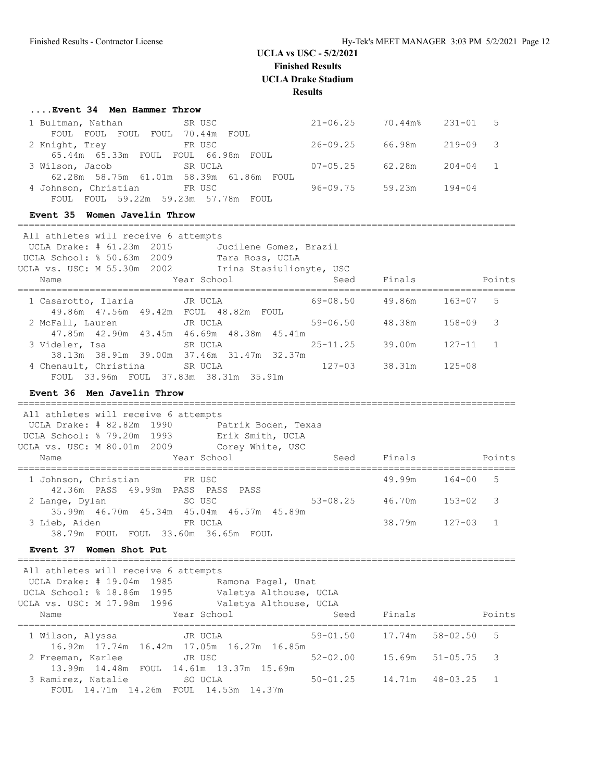## **UCLA vs USC - 5/2/2021 Finished Results**

**UCLA Drake Stadium**

**Results**

| Event 34 Men Hammer Throw |  |  |  |  |  |  |
|---------------------------|--|--|--|--|--|--|
|---------------------------|--|--|--|--|--|--|

| 1 Bultman, Nathan                        | SR USC                                  | $21 - 06.25$ | 70.44m% | $231 - 01$ 5 |  |
|------------------------------------------|-----------------------------------------|--------------|---------|--------------|--|
| FOUL<br>FOUL<br>FOUL                     | FOUL 70.44m<br>FOUL                     |              |         |              |  |
| 2 Knight, Trey                           | FR USC                                  | $26 - 09.25$ | 66.98m  | $219 - 09$ 3 |  |
| 65.44m  65.33m  FOUL  FOUL  66.98m  FOUL |                                         |              |         |              |  |
| 3 Wilson, Jacob                          | SR UCLA                                 | $07 - 05.25$ | 62.28m  | $204 - 04$ 1 |  |
|                                          | 62.28m 58.75m 61.01m 58.39m 61.86m FOUL |              |         |              |  |
| 4 Johnson, Christian                     | FR USC                                  | $96 - 09.75$ | 59.23m  | $194 - 04$   |  |
| FOUL                                     | FOUL 59.22m 59.23m 57.78m FOUL          |              |         |              |  |

==========================================================================================

#### **Event 35 Women Javelin Throw**

| All athletes will receive 6 attempts<br>UCLA Drake: # 61.23m 2015<br>UCLA School: % 50.63m 2009<br>UCLA vs. USC: M 55.30m 2002 | Jucilene Gomez, Brazil<br>Tara Ross, UCLA<br>Irina Stasiulionyte, USC |              |                 |              |
|--------------------------------------------------------------------------------------------------------------------------------|-----------------------------------------------------------------------|--------------|-----------------|--------------|
| Name                                                                                                                           | Year School                                                           |              | Seed Finals     | Points       |
| 1 Casarotto, Ilaria       JR UCLA<br>49.86m 47.56m 49.42m FOUL 48.82m FOUL                                                     |                                                                       |              | 69-08.50 49.86m | -5<br>163-07 |
| 2 McFall, Lauren<br>47.85m  42.90m  43.45m  46.69m  48.38m  45.41m                                                             | JR UCLA                                                               | 59-06.50     | 48.38m          | $158 - 09$ 3 |
| 3 Videler, Isa<br>38.13m 38.91m 39.00m 37.46m 31.47m 32.37m                                                                    | SR UCLA                                                               | $25 - 11.25$ | 39.00m 127-11 1 |              |
| 4 Chenault, Christina<br>FOUL 33.96m FOUL 37.83m 38.31m 35.91m                                                                 | SR UCLA                                                               | $127 - 03$   | 38.31m          | $125 - 08$   |

#### **Event 36 Men Javelin Throw**

========================================================================================== All athletes will receive 6 attempts UCLA Drake: # 82.82m 1990 Patrik Boden, Texas UCLA School: % 79.20m 1993 Erik Smith, UCLA UCLA vs. USC: M 80.01m 2009 Corey White, USC Name Year School Seed Finals Points ========================================================================================== 1 Johnson, Christian FR USC 19.99m 164-00 5 42.36m PASS 49.99m PASS PASS PASS 2 Lange, Dylan SO USC 53-08.25 46.70m 153-02 3 35.99m 46.70m 45.34m 45.04m 46.57m 45.89m 3 Lieb, Aiden FR UCLA 38.79m 127-03 1 38.79m FOUL FOUL 33.60m 36.65m FOUL

### **Event 37 Women Shot Put**

 All athletes will receive 6 attempts UCLA Drake: # 19.04m 1985 Ramona Pagel, Unat UCLA School: % 18.86m 1995 Valetya Althouse, UCLA UCLA vs. USC: M 17.98m 1996 Valetya Althouse, UCLA Name Year School Seed Finals Points ========================================================================================== 1 Wilson, Alyssa JR UCLA 16.92m 17.74m 16.42m 17.05m 16.27m 16.85m 2 Freeman, Karlee JR USC 52-02.00 15.69m 51-05.75 3 13.99m 14.48m FOUL 14.61m 13.37m 15.69m 3 Ramirez, Natalie SO UCLA 50-01.25 14.71m 48-03.25 1 FOUL 14.71m 14.26m FOUL 14.53m 14.37m

==========================================================================================